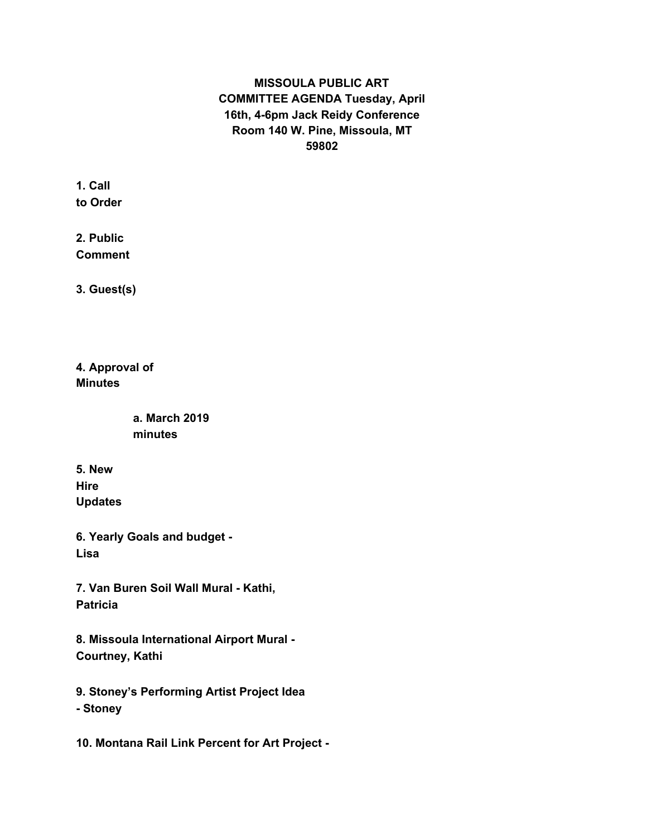## **MISSOULA PUBLIC ART COMMITTEE AGENDA Tuesday, April 16th, 4-6pm Jack Reidy Conference Room 140 W. Pine, Missoula, MT 59802**

**1. Call to Order**

**2. Public Comment**

**3. Guest(s)**

**4. Approval of Minutes**

> **a. March 2019 minutes**

**5. New Hire Updates**

**6. Yearly Goals and budget - Lisa**

**7. Van Buren Soil Wall Mural - Kathi, Patricia**

**8. Missoula International Airport Mural - Courtney, Kathi**

**9. Stoney's Performing Artist Project Idea - Stoney**

**10. Montana Rail Link Percent for Art Project -**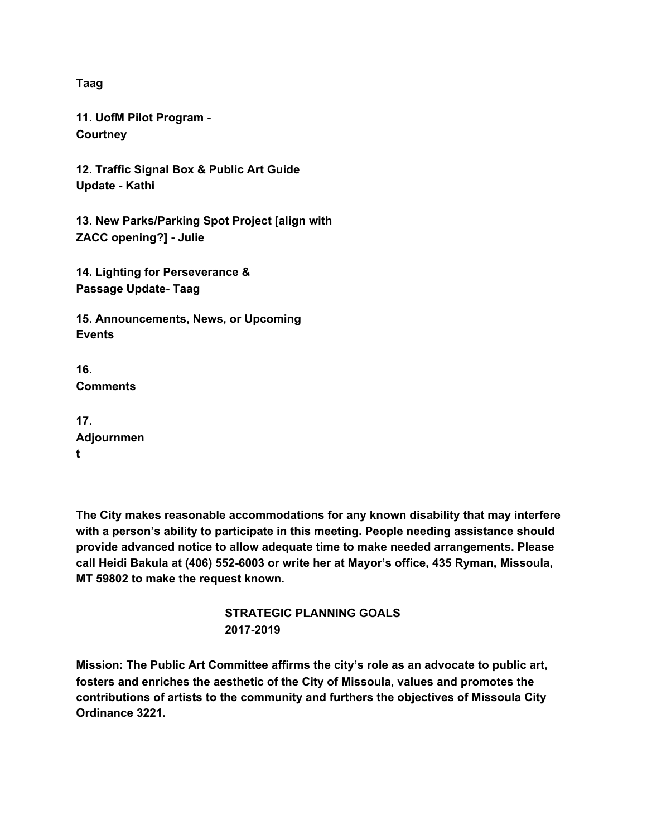**Taag**

**11. UofM Pilot Program - Courtney**

**12. Traffic Signal Box & Public Art Guide Update - Kathi**

**13. New Parks/Parking Spot Project [align with ZACC opening?] - Julie**

**14. Lighting for Perseverance & Passage Update- Taag**

**15. Announcements, News, or Upcoming Events**

**16. Comments**

| 17.        |
|------------|
| Adjournmen |
| t          |

**The City makes reasonable accommodations for any known disability that may interfere with a person's ability to participate in this meeting. People needing assistance should provide advanced notice to allow adequate time to make needed arrangements. Please call Heidi Bakula at (406) 552-6003 or write her at Mayor's office, 435 Ryman, Missoula, MT 59802 to make the request known.**

## **STRATEGIC PLANNING GOALS 2017-2019**

**Mission: The Public Art Committee affirms the city's role as an advocate to public art, fosters and enriches the aesthetic of the City of Missoula, values and promotes the contributions of artists to the community and furthers the objectives of Missoula City Ordinance 3221.**